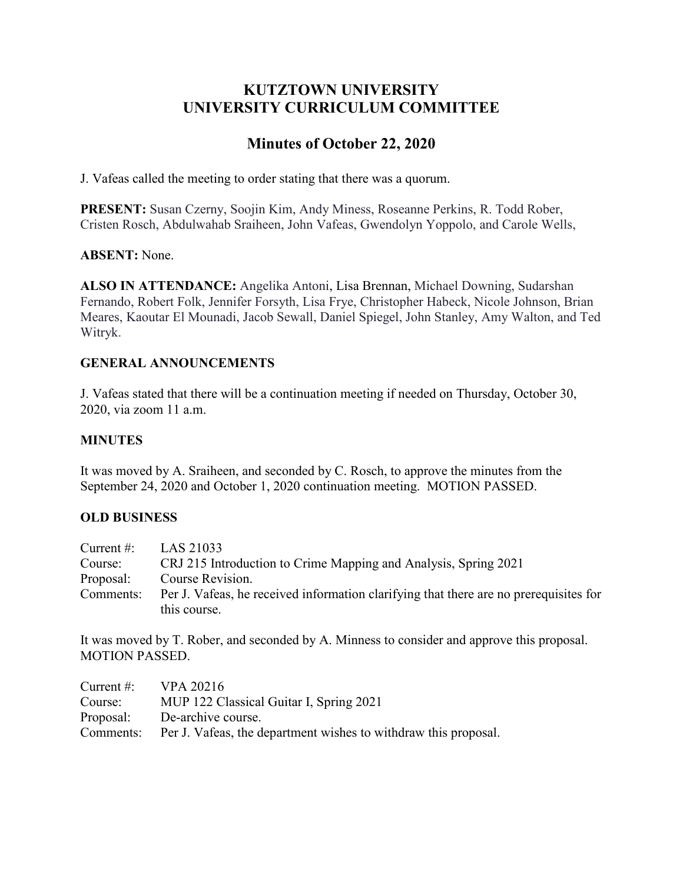# **KUTZTOWN UNIVERSITY UNIVERSITY CURRICULUM COMMITTEE**

# **Minutes of October 22, 2020**

J. Vafeas called the meeting to order stating that there was a quorum.

**PRESENT:** Susan Czerny, Soojin Kim, Andy Miness, Roseanne Perkins, R. Todd Rober, Cristen Rosch, Abdulwahab Sraiheen, John Vafeas, Gwendolyn Yoppolo, and Carole Wells,

#### **ABSENT:** None.

**ALSO IN ATTENDANCE:** Angelika Antoni, Lisa Brennan, Michael Downing, Sudarshan Fernando, Robert Folk, Jennifer Forsyth, Lisa Frye, Christopher Habeck, Nicole Johnson, Brian Meares, Kaoutar El Mounadi, Jacob Sewall, Daniel Spiegel, John Stanley, Amy Walton, and Ted Witryk.

## **GENERAL ANNOUNCEMENTS**

J. Vafeas stated that there will be a continuation meeting if needed on Thursday, October 30, 2020, via zoom 11 a.m.

#### **MINUTES**

It was moved by A. Sraiheen, and seconded by C. Rosch, to approve the minutes from the September 24, 2020 and October 1, 2020 continuation meeting. MOTION PASSED.

### **OLD BUSINESS**

| Current $#$ : | LAS 21033                                                                             |
|---------------|---------------------------------------------------------------------------------------|
| Course:       | CRJ 215 Introduction to Crime Mapping and Analysis, Spring 2021                       |
| Proposal:     | Course Revision.                                                                      |
| Comments:     | Per J. Vafeas, he received information clarifying that there are no prerequisites for |
|               | this course.                                                                          |

It was moved by T. Rober, and seconded by A. Minness to consider and approve this proposal. MOTION PASSED.

| Current #: $VPA 20216$ |                                                                           |
|------------------------|---------------------------------------------------------------------------|
| Course:                | MUP 122 Classical Guitar I, Spring 2021                                   |
|                        | Proposal: De-archive course.                                              |
|                        | Comments: Per J. Vafeas, the department wishes to withdraw this proposal. |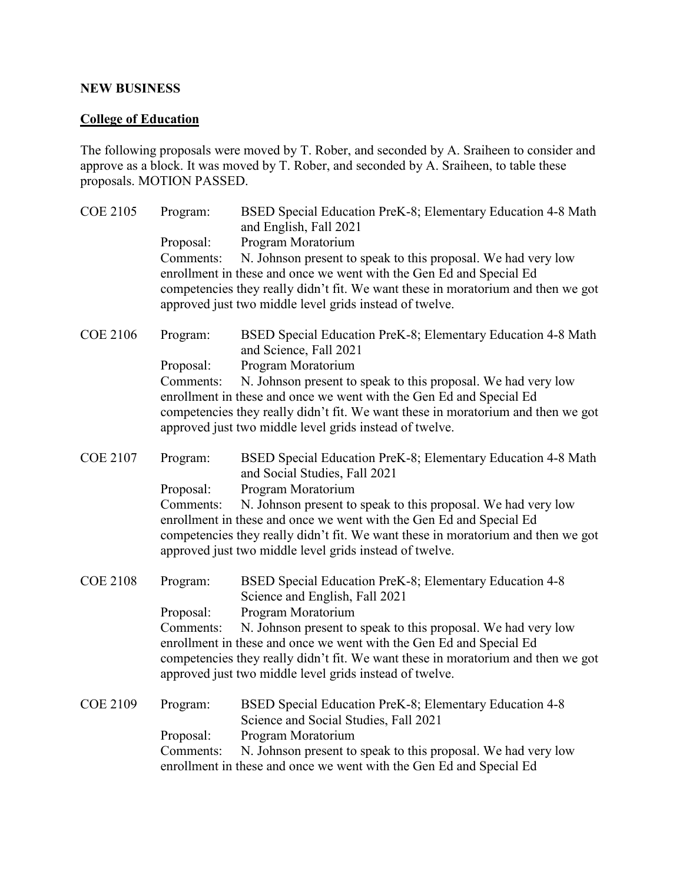#### **NEW BUSINESS**

## **College of Education**

The following proposals were moved by T. Rober, and seconded by A. Sraiheen to consider and approve as a block. It was moved by T. Rober, and seconded by A. Sraiheen, to table these proposals. MOTION PASSED.

| <b>COE 2105</b> | Program:<br>Proposal:<br>Comments: | BSED Special Education PreK-8; Elementary Education 4-8 Math<br>and English, Fall 2021<br>Program Moratorium<br>N. Johnson present to speak to this proposal. We had very low<br>enrollment in these and once we went with the Gen Ed and Special Ed<br>competencies they really didn't fit. We want these in moratorium and then we got<br>approved just two middle level grids instead of twelve.        |
|-----------------|------------------------------------|------------------------------------------------------------------------------------------------------------------------------------------------------------------------------------------------------------------------------------------------------------------------------------------------------------------------------------------------------------------------------------------------------------|
| <b>COE 2106</b> | Program:<br>Proposal:<br>Comments: | BSED Special Education PreK-8; Elementary Education 4-8 Math<br>and Science, Fall 2021<br>Program Moratorium<br>N. Johnson present to speak to this proposal. We had very low<br>enrollment in these and once we went with the Gen Ed and Special Ed<br>competencies they really didn't fit. We want these in moratorium and then we got<br>approved just two middle level grids instead of twelve.        |
| <b>COE 2107</b> | Program:<br>Proposal:<br>Comments: | BSED Special Education PreK-8; Elementary Education 4-8 Math<br>and Social Studies, Fall 2021<br>Program Moratorium<br>N. Johnson present to speak to this proposal. We had very low<br>enrollment in these and once we went with the Gen Ed and Special Ed<br>competencies they really didn't fit. We want these in moratorium and then we got<br>approved just two middle level grids instead of twelve. |
| <b>COE 2108</b> | Program:<br>Proposal:<br>Comments: | BSED Special Education PreK-8; Elementary Education 4-8<br>Science and English, Fall 2021<br>Program Moratorium<br>N. Johnson present to speak to this proposal. We had very low<br>enrollment in these and once we went with the Gen Ed and Special Ed<br>competencies they really didn't fit. We want these in moratorium and then we got<br>approved just two middle level grids instead of twelve.     |
| <b>COE 2109</b> | Program:<br>Proposal:<br>Comments: | BSED Special Education PreK-8; Elementary Education 4-8<br>Science and Social Studies, Fall 2021<br>Program Moratorium<br>N. Johnson present to speak to this proposal. We had very low<br>enrollment in these and once we went with the Gen Ed and Special Ed                                                                                                                                             |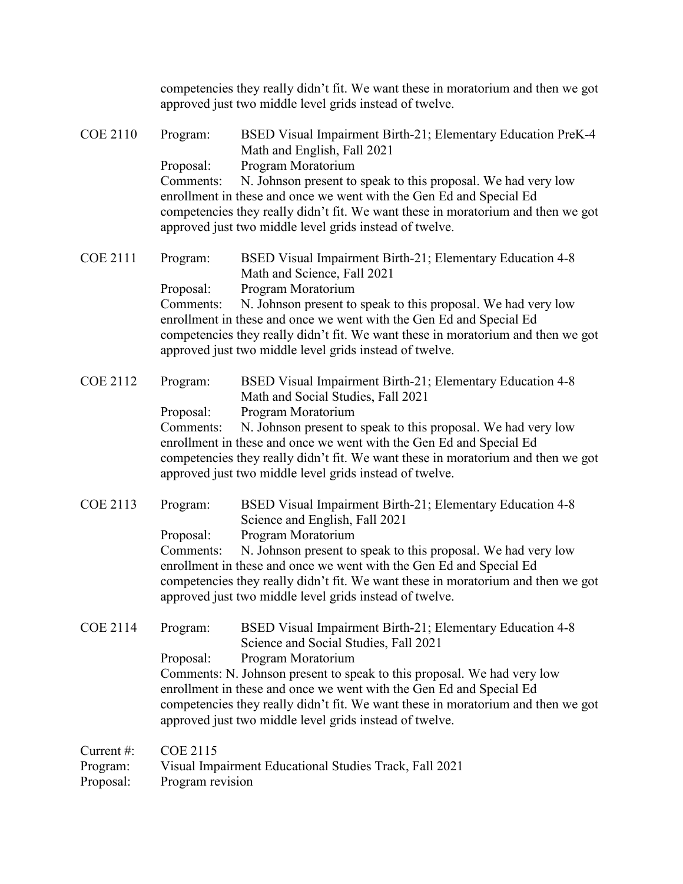| Current#:<br>Program:<br>Proposal: | <b>COE 2115</b><br>Visual Impairment Educational Studies Track, Fall 2021<br>Program revision                                                             |                                                                                                                                                                                                                                                                                                                                          |
|------------------------------------|-----------------------------------------------------------------------------------------------------------------------------------------------------------|------------------------------------------------------------------------------------------------------------------------------------------------------------------------------------------------------------------------------------------------------------------------------------------------------------------------------------------|
| <b>COE 2114</b>                    | Program:<br>Program Moratorium<br>Proposal:<br>approved just two middle level grids instead of twelve.                                                    | BSED Visual Impairment Birth-21; Elementary Education 4-8<br>Science and Social Studies, Fall 2021<br>Comments: N. Johnson present to speak to this proposal. We had very low<br>enrollment in these and once we went with the Gen Ed and Special Ed<br>competencies they really didn't fit. We want these in moratorium and then we got |
| <b>COE 2113</b>                    | Program:<br>Science and English, Fall 2021<br>Program Moratorium<br>Proposal:<br>Comments:<br>approved just two middle level grids instead of twelve.     | BSED Visual Impairment Birth-21; Elementary Education 4-8<br>N. Johnson present to speak to this proposal. We had very low<br>enrollment in these and once we went with the Gen Ed and Special Ed<br>competencies they really didn't fit. We want these in moratorium and then we got                                                    |
| <b>COE 2112</b>                    | Program:<br>Math and Social Studies, Fall 2021<br>Program Moratorium<br>Proposal:<br>Comments:<br>approved just two middle level grids instead of twelve. | BSED Visual Impairment Birth-21; Elementary Education 4-8<br>N. Johnson present to speak to this proposal. We had very low<br>enrollment in these and once we went with the Gen Ed and Special Ed<br>competencies they really didn't fit. We want these in moratorium and then we got                                                    |
| <b>COE 2111</b>                    | Program:<br>Math and Science, Fall 2021<br>Proposal:<br>Program Moratorium<br>Comments:<br>approved just two middle level grids instead of twelve.        | BSED Visual Impairment Birth-21; Elementary Education 4-8<br>N. Johnson present to speak to this proposal. We had very low<br>enrollment in these and once we went with the Gen Ed and Special Ed<br>competencies they really didn't fit. We want these in moratorium and then we got                                                    |
| <b>COE 2110</b>                    | Program:<br>Math and English, Fall 2021<br>Program Moratorium<br>Proposal:<br>Comments:<br>approved just two middle level grids instead of twelve.        | BSED Visual Impairment Birth-21; Elementary Education PreK-4<br>N. Johnson present to speak to this proposal. We had very low<br>enrollment in these and once we went with the Gen Ed and Special Ed<br>competencies they really didn't fit. We want these in moratorium and then we got                                                 |
|                                    | approved just two middle level grids instead of twelve.                                                                                                   | competencies they really didn't fit. We want these in moratorium and then we got                                                                                                                                                                                                                                                         |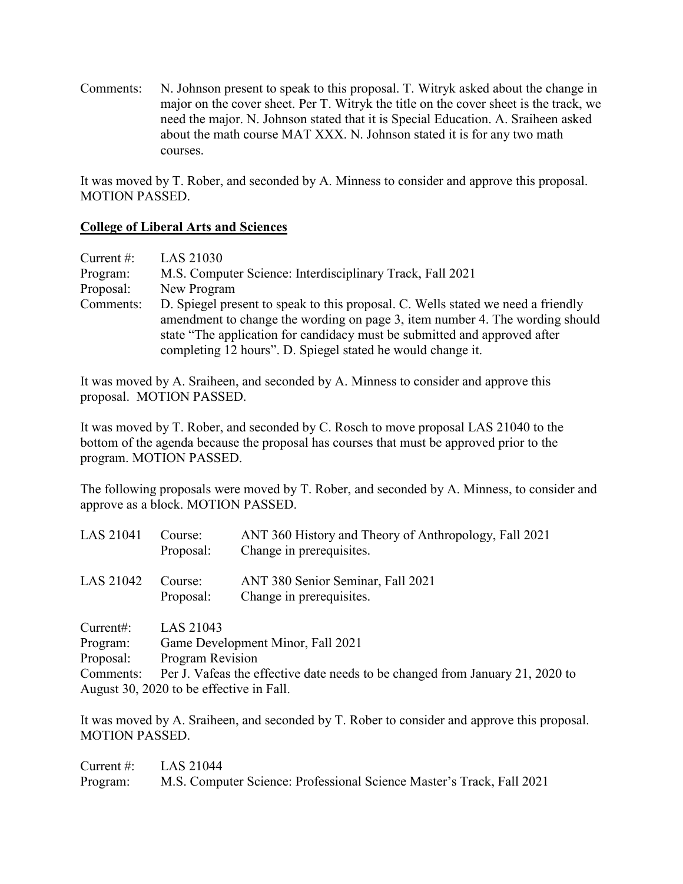Comments: N. Johnson present to speak to this proposal. T. Witryk asked about the change in major on the cover sheet. Per T. Witryk the title on the cover sheet is the track, we need the major. N. Johnson stated that it is Special Education. A. Sraiheen asked about the math course MAT XXX. N. Johnson stated it is for any two math courses.

It was moved by T. Rober, and seconded by A. Minness to consider and approve this proposal. MOTION PASSED.

#### **College of Liberal Arts and Sciences**

| Current $#$ : | LAS 21030                                                                                                                                                                                                                                                                                                    |
|---------------|--------------------------------------------------------------------------------------------------------------------------------------------------------------------------------------------------------------------------------------------------------------------------------------------------------------|
| Program:      | M.S. Computer Science: Interdisciplinary Track, Fall 2021                                                                                                                                                                                                                                                    |
| Proposal:     | New Program                                                                                                                                                                                                                                                                                                  |
| Comments:     | D. Spiegel present to speak to this proposal. C. Wells stated we need a friendly<br>amendment to change the wording on page 3, item number 4. The wording should<br>state "The application for candidacy must be submitted and approved after<br>completing 12 hours". D. Spiegel stated he would change it. |

It was moved by A. Sraiheen, and seconded by A. Minness to consider and approve this proposal. MOTION PASSED.

It was moved by T. Rober, and seconded by C. Rosch to move proposal LAS 21040 to the bottom of the agenda because the proposal has courses that must be approved prior to the program. MOTION PASSED.

The following proposals were moved by T. Rober, and seconded by A. Minness, to consider and approve as a block. MOTION PASSED.

| LAS 21041 | Course:<br>Proposal:                                                          | ANT 360 History and Theory of Anthropology, Fall 2021<br>Change in prerequisites. |  |
|-----------|-------------------------------------------------------------------------------|-----------------------------------------------------------------------------------|--|
| LAS 21042 | Course:                                                                       | ANT 380 Senior Seminar, Fall 2021                                                 |  |
|           | Proposal:                                                                     | Change in prerequisites.                                                          |  |
| Current:  | LAS 21043                                                                     |                                                                                   |  |
| Program:  | Game Development Minor, Fall 2021                                             |                                                                                   |  |
| Proposal: | Program Revision                                                              |                                                                                   |  |
| Comments: | Per J. Vafeas the effective date needs to be changed from January 21, 2020 to |                                                                                   |  |
|           | August 30, 2020 to be effective in Fall.                                      |                                                                                   |  |

It was moved by A. Sraiheen, and seconded by T. Rober to consider and approve this proposal. MOTION PASSED.

| Current #: $LAS 21044$ |                                                                       |
|------------------------|-----------------------------------------------------------------------|
| Program:               | M.S. Computer Science: Professional Science Master's Track, Fall 2021 |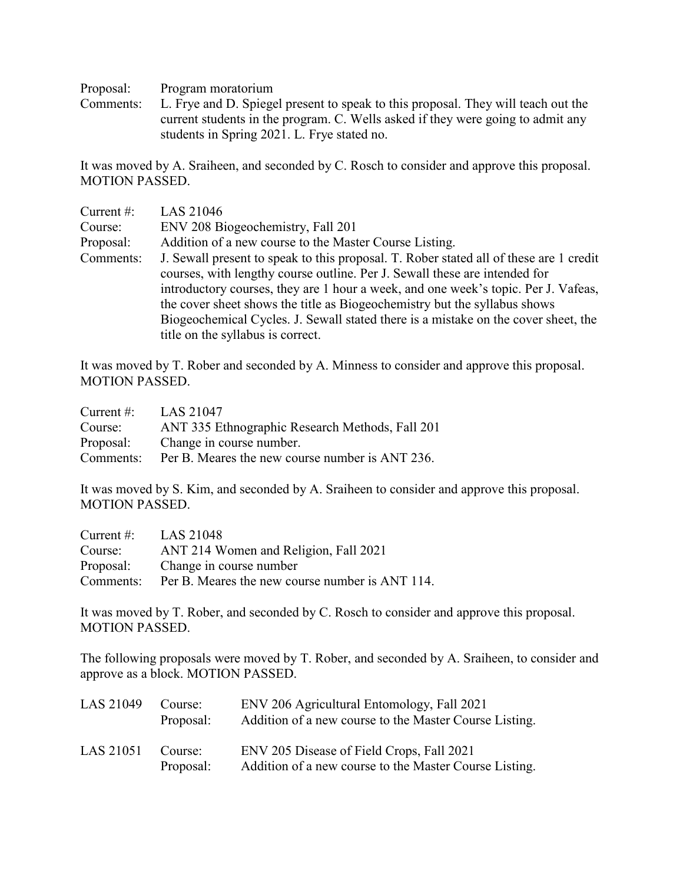Proposal: Program moratorium

Comments: L. Frye and D. Spiegel present to speak to this proposal. They will teach out the current students in the program. C. Wells asked if they were going to admit any students in Spring 2021. L. Frye stated no.

It was moved by A. Sraiheen, and seconded by C. Rosch to consider and approve this proposal. MOTION PASSED.

| Current $#$ : | LAS 21046                                                                                                                                                                                                                                                                                                                                                                                                                                                          |
|---------------|--------------------------------------------------------------------------------------------------------------------------------------------------------------------------------------------------------------------------------------------------------------------------------------------------------------------------------------------------------------------------------------------------------------------------------------------------------------------|
| Course:       | ENV 208 Biogeochemistry, Fall 201                                                                                                                                                                                                                                                                                                                                                                                                                                  |
| Proposal:     | Addition of a new course to the Master Course Listing.                                                                                                                                                                                                                                                                                                                                                                                                             |
| Comments:     | J. Sewall present to speak to this proposal. T. Rober stated all of these are 1 credit<br>courses, with lengthy course outline. Per J. Sewall these are intended for<br>introductory courses, they are 1 hour a week, and one week's topic. Per J. Vafeas,<br>the cover sheet shows the title as Biogeochemistry but the syllabus shows<br>Biogeochemical Cycles. J. Sewall stated there is a mistake on the cover sheet, the<br>title on the syllabus is correct. |

It was moved by T. Rober and seconded by A. Minness to consider and approve this proposal. MOTION PASSED.

| Current $\#$ : | LAS 21047                                       |
|----------------|-------------------------------------------------|
| Course:        | ANT 335 Ethnographic Research Methods, Fall 201 |
| Proposal:      | Change in course number.                        |
| Comments:      | Per B. Meares the new course number is ANT 236. |

It was moved by S. Kim, and seconded by A. Sraiheen to consider and approve this proposal. MOTION PASSED.

| Current #: $LAS 21048$ |                                                 |
|------------------------|-------------------------------------------------|
| Course:                | ANT 214 Women and Religion, Fall 2021           |
|                        | Proposal: Change in course number               |
| Comments:              | Per B. Meares the new course number is ANT 114. |

It was moved by T. Rober, and seconded by C. Rosch to consider and approve this proposal. MOTION PASSED.

The following proposals were moved by T. Rober, and seconded by A. Sraiheen, to consider and approve as a block. MOTION PASSED.

| LAS 21049 | Course:<br>Proposal: | ENV 206 Agricultural Entomology, Fall 2021<br>Addition of a new course to the Master Course Listing. |
|-----------|----------------------|------------------------------------------------------------------------------------------------------|
| LAS 21051 | Course:<br>Proposal: | ENV 205 Disease of Field Crops, Fall 2021<br>Addition of a new course to the Master Course Listing.  |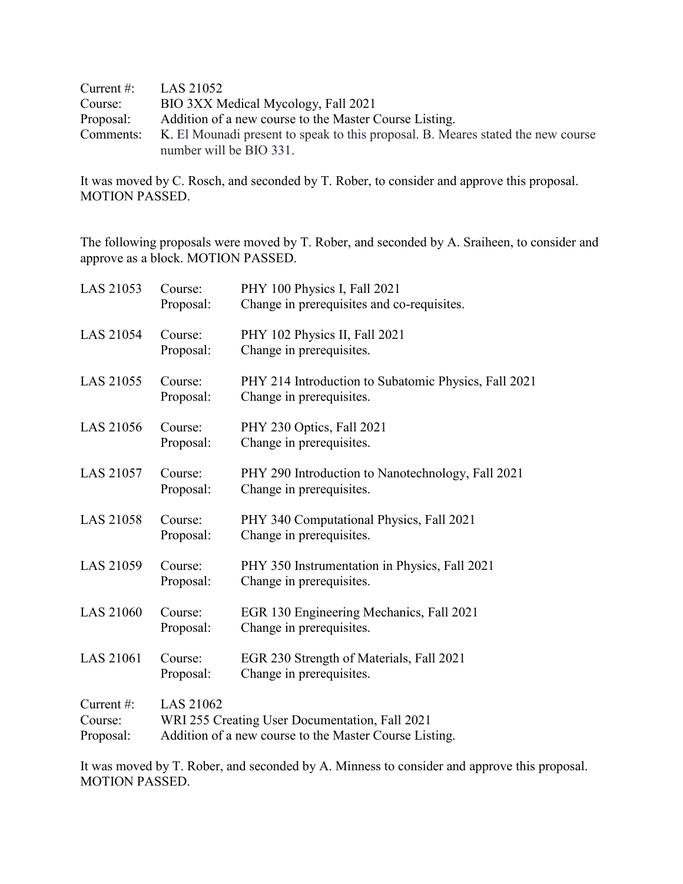| Current $#$ : | LAS 21052                                                                        |
|---------------|----------------------------------------------------------------------------------|
| Course:       | BIO 3XX Medical Mycology, Fall 2021                                              |
| Proposal:     | Addition of a new course to the Master Course Listing.                           |
| Comments:     | K. El Mounadi present to speak to this proposal. B. Meares stated the new course |
|               | number will be BIO 331.                                                          |

It was moved by C. Rosch, and seconded by T. Rober, to consider and approve this proposal. MOTION PASSED.

The following proposals were moved by T. Rober, and seconded by A. Sraiheen, to consider and approve as a block. MOTION PASSED.

| LAS 21053                         | Course:<br>Proposal: | PHY 100 Physics I, Fall 2021<br>Change in prerequisites and co-requisites.                               |
|-----------------------------------|----------------------|----------------------------------------------------------------------------------------------------------|
| LAS 21054                         | Course:<br>Proposal: | PHY 102 Physics II, Fall 2021<br>Change in prerequisites.                                                |
| LAS 21055                         | Course:<br>Proposal: | PHY 214 Introduction to Subatomic Physics, Fall 2021<br>Change in prerequisites.                         |
| LAS 21056                         | Course:<br>Proposal: | PHY 230 Optics, Fall 2021<br>Change in prerequisites.                                                    |
| <b>LAS 21057</b>                  | Course:<br>Proposal: | PHY 290 Introduction to Nanotechnology, Fall 2021<br>Change in prerequisites.                            |
| <b>LAS 21058</b>                  | Course:<br>Proposal: | PHY 340 Computational Physics, Fall 2021<br>Change in prerequisites.                                     |
| LAS 21059                         | Course:<br>Proposal: | PHY 350 Instrumentation in Physics, Fall 2021<br>Change in prerequisites.                                |
| <b>LAS 21060</b>                  | Course:<br>Proposal: | EGR 130 Engineering Mechanics, Fall 2021<br>Change in prerequisites.                                     |
| LAS 21061                         | Course:<br>Proposal: | EGR 230 Strength of Materials, Fall 2021<br>Change in prerequisites.                                     |
| Current#:<br>Course:<br>Proposal: | LAS 21062            | WRI 255 Creating User Documentation, Fall 2021<br>Addition of a new course to the Master Course Listing. |

It was moved by T. Rober, and seconded by A. Minness to consider and approve this proposal. MOTION PASSED.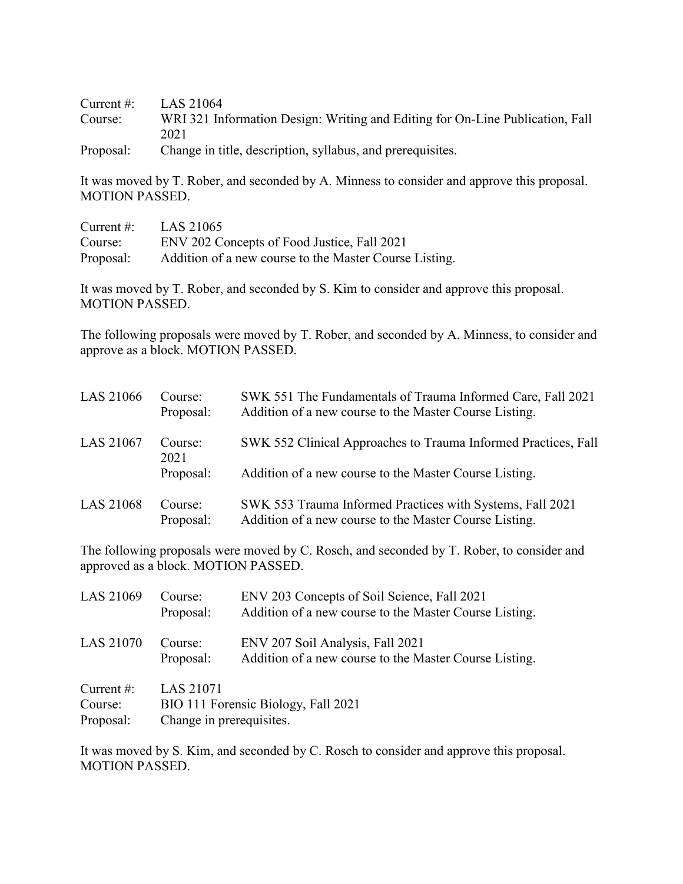Current #: LAS 21064 Course: WRI 321 Information Design: Writing and Editing for On-Line Publication, Fall 2021

Proposal: Change in title, description, syllabus, and prerequisites.

It was moved by T. Rober, and seconded by A. Minness to consider and approve this proposal. MOTION PASSED.

| Current $\#$ : | LAS 21065                                              |
|----------------|--------------------------------------------------------|
| Course:        | ENV 202 Concepts of Food Justice, Fall 2021            |
| Proposal:      | Addition of a new course to the Master Course Listing. |

It was moved by T. Rober, and seconded by S. Kim to consider and approve this proposal. MOTION PASSED.

The following proposals were moved by T. Rober, and seconded by A. Minness, to consider and approve as a block. MOTION PASSED.

| LAS 21066 | Course:<br>Proposal: | SWK 551 The Fundamentals of Trauma Informed Care, Fall 2021<br>Addition of a new course to the Master Course Listing. |
|-----------|----------------------|-----------------------------------------------------------------------------------------------------------------------|
| LAS 21067 | Course:<br>2021      | SWK 552 Clinical Approaches to Trauma Informed Practices, Fall                                                        |
|           | Proposal:            | Addition of a new course to the Master Course Listing.                                                                |
| LAS 21068 | Course:<br>Proposal: | SWK 553 Trauma Informed Practices with Systems, Fall 2021<br>Addition of a new course to the Master Course Listing.   |

The following proposals were moved by C. Rosch, and seconded by T. Rober, to consider and approved as a block. MOTION PASSED.

| LAS 21069                          | Course:<br>Proposal:                         | ENV 203 Concepts of Soil Science, Fall 2021<br>Addition of a new course to the Master Course Listing. |
|------------------------------------|----------------------------------------------|-------------------------------------------------------------------------------------------------------|
| LAS 21070                          | Course:<br>Proposal:                         | ENV 207 Soil Analysis, Fall 2021<br>Addition of a new course to the Master Course Listing.            |
| Current #:<br>Course:<br>Proposal: | <b>LAS 21071</b><br>Change in prerequisites. | BIO 111 Forensic Biology, Fall 2021                                                                   |

It was moved by S. Kim, and seconded by C. Rosch to consider and approve this proposal. MOTION PASSED.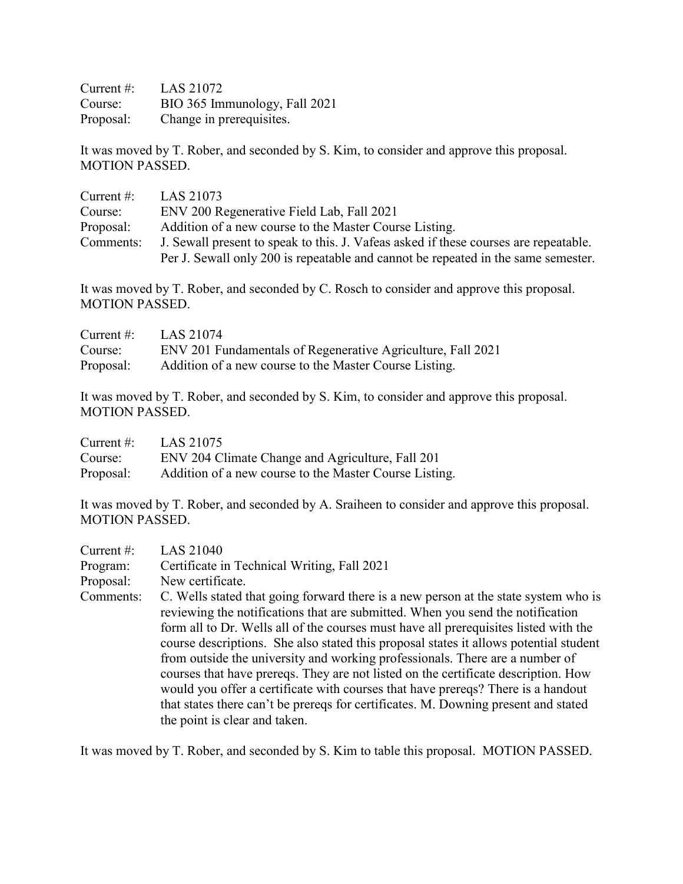| Current $\#$ : | LAS 21072                     |
|----------------|-------------------------------|
| Course:        | BIO 365 Immunology, Fall 2021 |
| Proposal:      | Change in prerequisites.      |

It was moved by T. Rober, and seconded by S. Kim, to consider and approve this proposal. MOTION PASSED.

| Current $#$ : | LAS 21073                                                                            |
|---------------|--------------------------------------------------------------------------------------|
| Course:       | ENV 200 Regenerative Field Lab, Fall 2021                                            |
| Proposal:     | Addition of a new course to the Master Course Listing.                               |
| Comments:     | J. Sewall present to speak to this. J. Vafeas asked if these courses are repeatable. |
|               | Per J. Sewall only 200 is repeatable and cannot be repeated in the same semester.    |

It was moved by T. Rober, and seconded by C. Rosch to consider and approve this proposal. MOTION PASSED.

| Current #: | LAS 21074                                                   |
|------------|-------------------------------------------------------------|
| Course:    | ENV 201 Fundamentals of Regenerative Agriculture, Fall 2021 |
| Proposal:  | Addition of a new course to the Master Course Listing.      |

It was moved by T. Rober, and seconded by S. Kim, to consider and approve this proposal. MOTION PASSED.

| Current $\#$ : | LAS 21075                                              |
|----------------|--------------------------------------------------------|
| Course:        | ENV 204 Climate Change and Agriculture, Fall 201       |
| Proposal:      | Addition of a new course to the Master Course Listing. |

It was moved by T. Rober, and seconded by A. Sraiheen to consider and approve this proposal. MOTION PASSED.

| Current $#$ : | <b>LAS 21040</b>                                                                      |
|---------------|---------------------------------------------------------------------------------------|
| Program:      | Certificate in Technical Writing, Fall 2021                                           |
| Proposal:     | New certificate.                                                                      |
| Comments:     | C. Wells stated that going forward there is a new person at the state system who is   |
|               | reviewing the notifications that are submitted. When you send the notification        |
|               | form all to Dr. Wells all of the courses must have all prerequisites listed with the  |
|               | course descriptions. She also stated this proposal states it allows potential student |
|               | from outside the university and working professionals. There are a number of          |
|               | courses that have prereqs. They are not listed on the certificate description. How    |
|               | would you offer a certificate with courses that have prereqs? There is a handout      |
|               | that states there can't be prereqs for certificates. M. Downing present and stated    |
|               | the point is clear and taken.                                                         |

It was moved by T. Rober, and seconded by S. Kim to table this proposal. MOTION PASSED.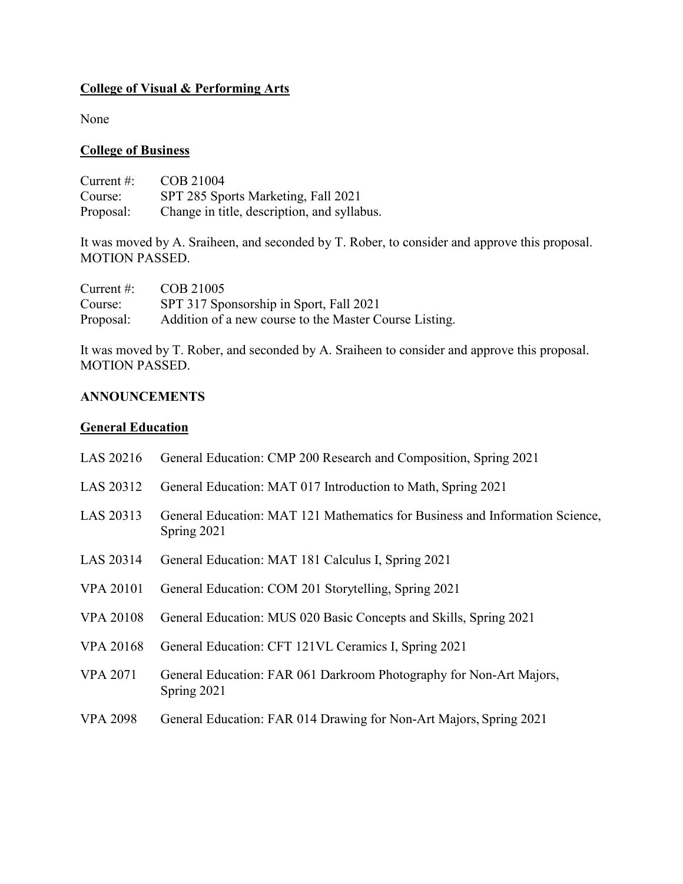## **College of Visual & Performing Arts**

None

## **College of Business**

Current #: COB 21004 Course: SPT 285 Sports Marketing, Fall 2021<br>Proposal: Change in title, description, and syllab Change in title, description, and syllabus.

It was moved by A. Sraiheen, and seconded by T. Rober, to consider and approve this proposal. MOTION PASSED.

| Current $\#$ : | COB 21005                                              |
|----------------|--------------------------------------------------------|
| Course:        | SPT 317 Sponsorship in Sport, Fall 2021                |
| Proposal:      | Addition of a new course to the Master Course Listing. |

It was moved by T. Rober, and seconded by A. Sraiheen to consider and approve this proposal. MOTION PASSED.

### **ANNOUNCEMENTS**

#### **General Education**

| LAS 20216        | General Education: CMP 200 Research and Composition, Spring 2021                            |
|------------------|---------------------------------------------------------------------------------------------|
| LAS 20312        | General Education: MAT 017 Introduction to Math, Spring 2021                                |
| LAS 20313        | General Education: MAT 121 Mathematics for Business and Information Science,<br>Spring 2021 |
| LAS 20314        | General Education: MAT 181 Calculus I, Spring 2021                                          |
| <b>VPA 20101</b> | General Education: COM 201 Storytelling, Spring 2021                                        |
| <b>VPA 20108</b> | General Education: MUS 020 Basic Concepts and Skills, Spring 2021                           |
| <b>VPA 20168</b> | General Education: CFT 121VL Ceramics I, Spring 2021                                        |
| <b>VPA 2071</b>  | General Education: FAR 061 Darkroom Photography for Non-Art Majors,<br>Spring 2021          |
| <b>VPA 2098</b>  | General Education: FAR 014 Drawing for Non-Art Majors, Spring 2021                          |
|                  |                                                                                             |